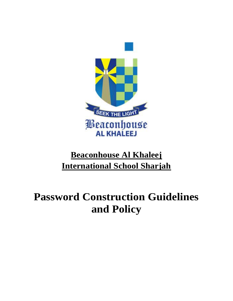

## **Beaconhouse Al Khaleej International School Sharjah**

# **Password Construction Guidelines and Policy**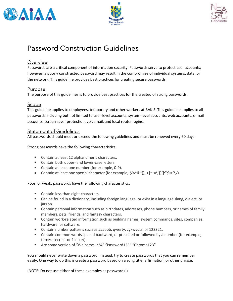





### Password Construction Guidelines

#### **Overview**

Passwords are a critical component of information security. Passwords serve to protect user accounts; however, a poorly constructed password may result in the compromise of individual systems, data, or the network. This guideline provides best practices for creating secure passwords.

#### Purpose

The purpose of this guidelines is to provide best practices for the created of strong passwords.

#### Scope

This guideline applies to employees, temporary and other workers at BAKIS. This guideline applies to all passwords including but not limited to user-level accounts, system-level accounts, web accounts, e-mail accounts, screen saver protection, voicemail, and local router logins.

#### Statement of Guidelines

All passwords should meet or exceed the following guidelines and must be renewed every 60 days.

Strong passwords have the following characteristics:

- Contain at least 12 alphanumeric characters.
- Contain both upper- and lower-case letters.
- Contain at least one number (for example, 0-9).
- Contain at least one special character (for example,  $\frac{1}{5}\%^0 \&^*()_+|\sim=\`{}_{[}[\;]:\;"\;;<>},/).$

Poor, or weak, passwords have the following characteristics:

- Contain less than eight characters.
- Can be found in a dictionary, including foreign language, or exist in a language slang, dialect, or jargon.
- Contain personal information such as birthdates, addresses, phone numbers, or names of family members, pets, friends, and fantasy characters.
- Contain work-related information such as building names, system commands, sites, companies, hardware, or software.
- Contain number patterns such as aaabbb, qwerty, zyxwvuts, or 123321.
- Contain common words spelled backward, or preceded or followed by a number (for example, terces, secret1 or 1secret).
- Are some version of "Welcome1234" "Password123" "Chrome123"

You should never write down a password. Instead, try to create passwords that you can remember easily. One way to do this is create a password based on a song title, affirmation, or other phrase.

(NOTE: Do not use either of these examples as passwords!)